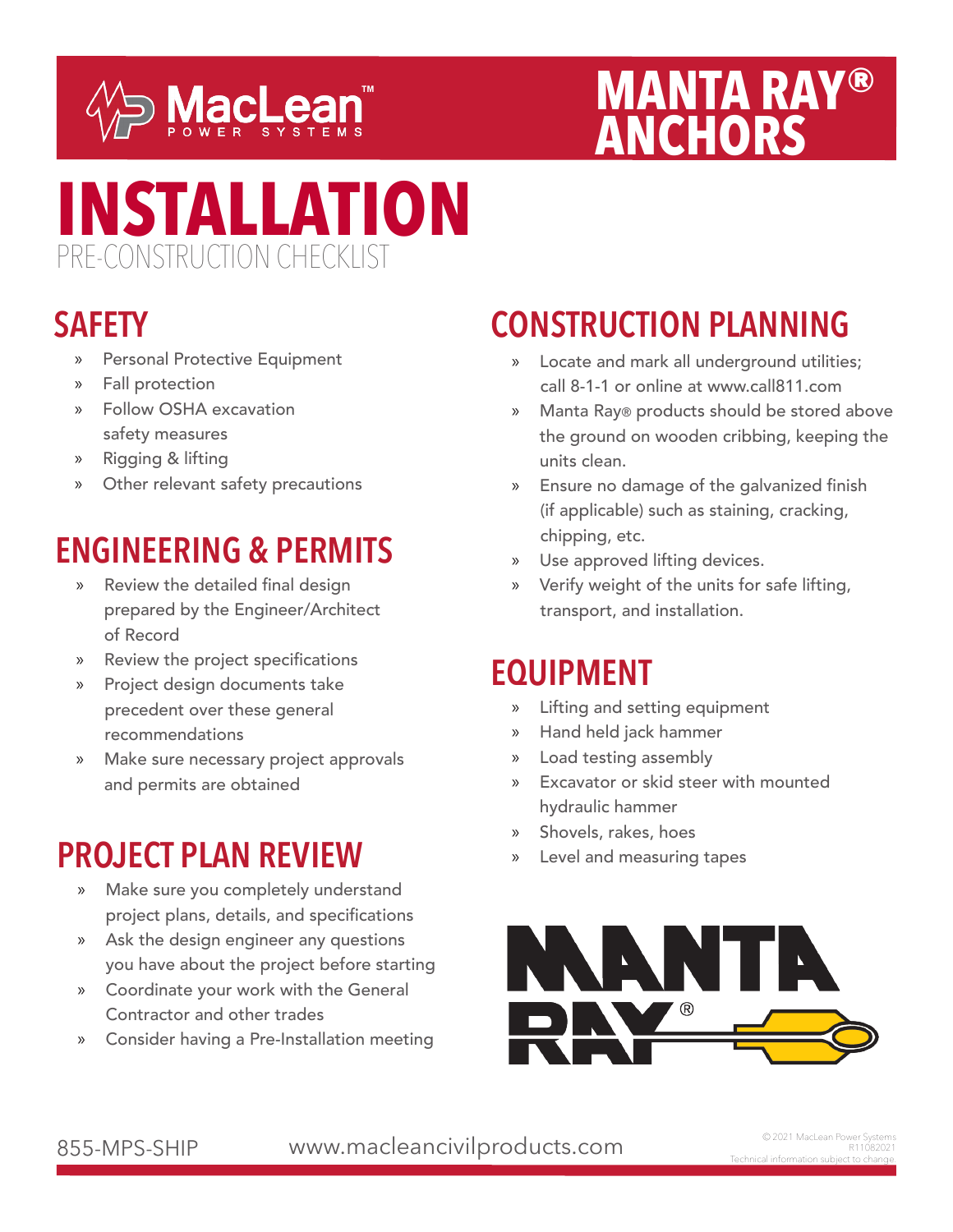

#### **MANTA RAY ANCHORS ®**

# **INSTALLATION**  PRE-CONSTRUCTION CHECKLIST

#### **SAFETY**

- » Personal Protective Equipment
- » Fall protection
- » Follow OSHA excavation safety measures
- » Rigging & lifting
- » Other relevant safety precautions

## **ENGINEERING & PERMITS**

- » Review the detailed final design prepared by the Engineer/Architect of Record
- » Review the project specifications
- » Project design documents take precedent over these general recommendations
- » Make sure necessary project approvals and permits are obtained

## **PROJECT PLAN REVIEW**

- » Make sure you completely understand project plans, details, and specifications
- » Ask the design engineer any questions you have about the project before starting
- » Coordinate your work with the General Contractor and other trades
- » Consider having a Pre-Installation meeting

# **CONSTRUCTION PLANNING**

- » Locate and mark all underground utilities; call 8-1-1 or online at www.call811.com
- » Manta Ray® products should be stored above the ground on wooden cribbing, keeping the units clean.
- » Ensure no damage of the galvanized finish (if applicable) such as staining, cracking, chipping, etc.
- » Use approved lifting devices.
- » Verify weight of the units for safe lifting, transport, and installation.

#### **EQUIPMENT**

- » Lifting and setting equipment
- » Hand held jack hammer
- » Load testing assembly
- » Excavator or skid steer with mounted hydraulic hammer
- » Shovels, rakes, hoes
- » Level and measuring tapes



855-MPS-SHIP www.macleancivilproducts.com